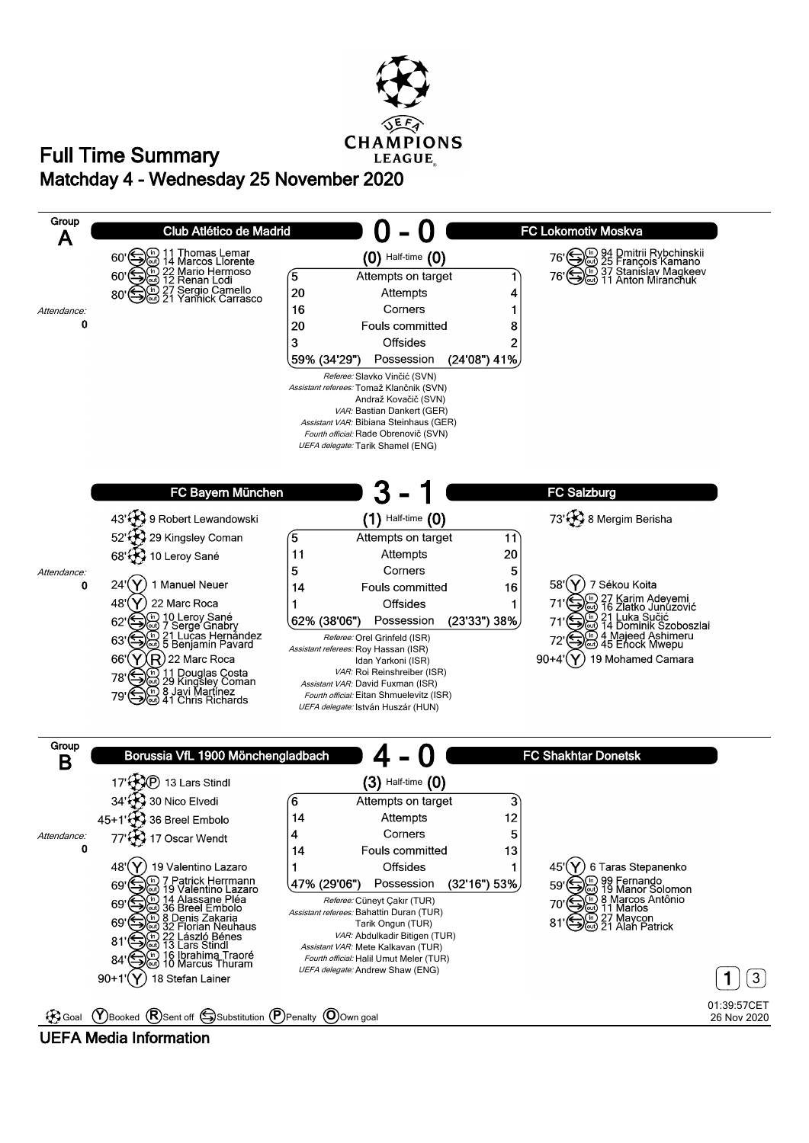

## **Matchday 4 - Wednesday 25 November 2020 Full Time Summary**

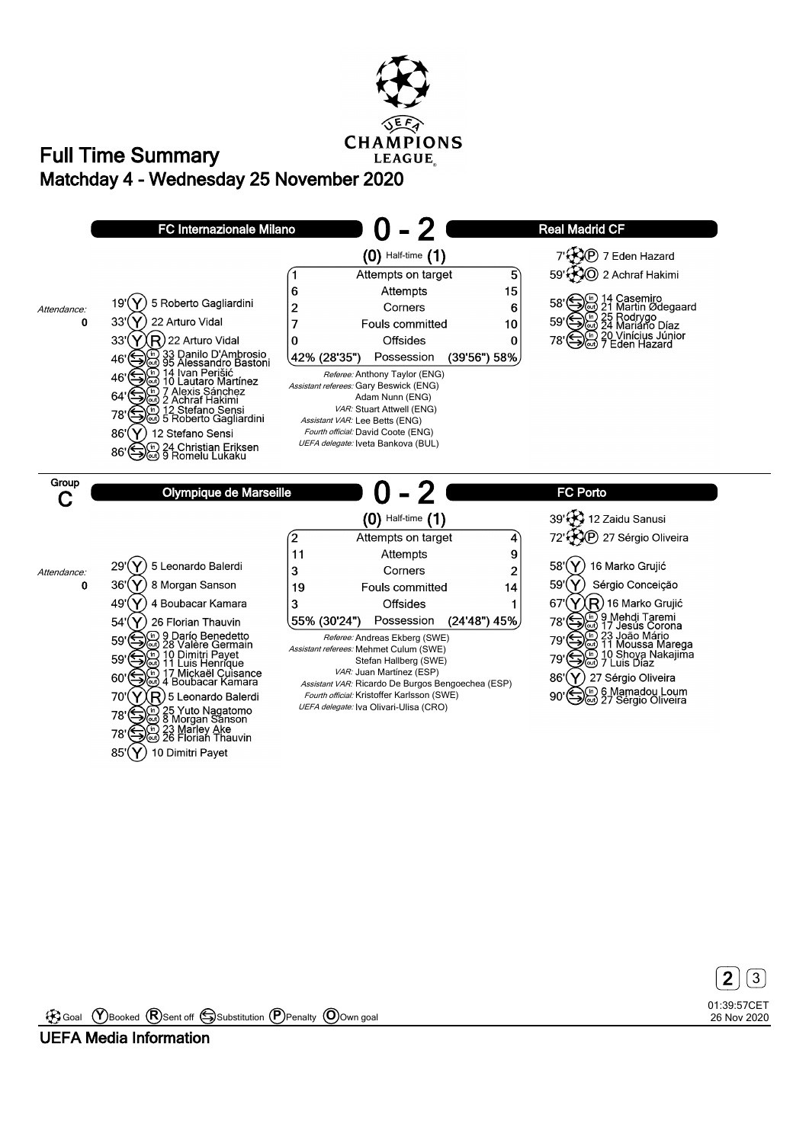**CHAMPIONS LEAGUE** 

## **Matchday 4 - Wednesday 25 November 2020 Full Time Summary**





Goal **Y** Booked **R** Sent off Substitution **P** Penalty **O** Own goal

**UEFA Media Information**